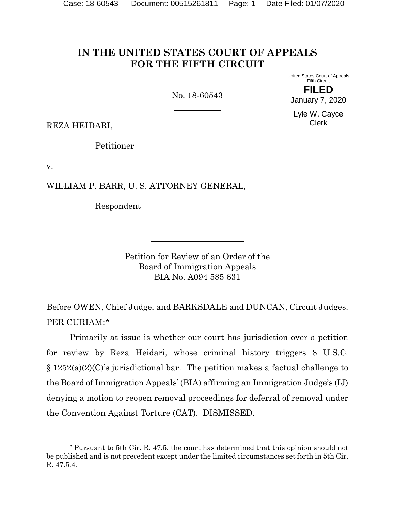# **IN THE UNITED STATES COURT OF APPEALS FOR THE FIFTH CIRCUIT**

No. 18-60543

United States Court of Appeals Fifth Circuit **FILED**

January 7, 2020

Lyle W. Cayce Clerk

REZA HEIDARI,

l

Petitioner

v.

WILLIAM P. BARR, U. S. ATTORNEY GENERAL,

Respondent

Petition for Review of an Order of the Board of Immigration Appeals BIA No. A094 585 631

Before OWEN, Chief Judge, and BARKSDALE and DUNCAN, Circuit Judges. PER CURIAM:[\\*](#page-0-0)

Primarily at issue is whether our court has jurisdiction over a petition for review by Reza Heidari, whose criminal history triggers 8 U.S.C.  $\S 1252(a)(2)(C)$ 's jurisdictional bar. The petition makes a factual challenge to the Board of Immigration Appeals' (BIA) affirming an Immigration Judge's (IJ) denying a motion to reopen removal proceedings for deferral of removal under the Convention Against Torture (CAT). DISMISSED.

<span id="page-0-0"></span><sup>\*</sup> Pursuant to 5th Cir. R. 47.5, the court has determined that this opinion should not be published and is not precedent except under the limited circumstances set forth in 5th Cir. R. 47.5.4.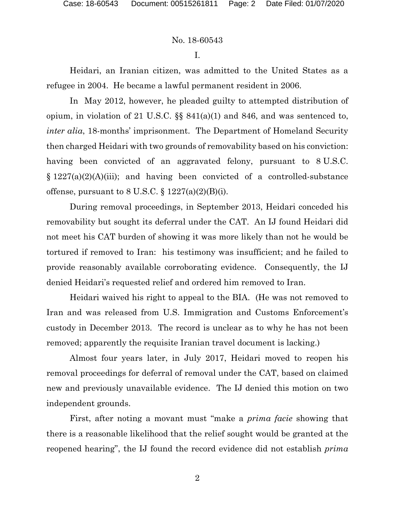I.

Heidari, an Iranian citizen, was admitted to the United States as a refugee in 2004. He became a lawful permanent resident in 2006.

In May 2012, however, he pleaded guilty to attempted distribution of opium, in violation of 21 U.S.C. §§ 841(a)(1) and 846, and was sentenced to, *inter alia*, 18-months' imprisonment. The Department of Homeland Security then charged Heidari with two grounds of removability based on his conviction: having been convicted of an aggravated felony, pursuant to 8 U.S.C.  $\S 1227(a)(2)(A)(iii)$ ; and having been convicted of a controlled-substance offense, pursuant to 8 U.S.C.  $\S 1227(a)(2)(B)(i)$ .

During removal proceedings, in September 2013, Heidari conceded his removability but sought its deferral under the CAT. An IJ found Heidari did not meet his CAT burden of showing it was more likely than not he would be tortured if removed to Iran: his testimony was insufficient; and he failed to provide reasonably available corroborating evidence. Consequently, the IJ denied Heidari's requested relief and ordered him removed to Iran.

Heidari waived his right to appeal to the BIA. (He was not removed to Iran and was released from U.S. Immigration and Customs Enforcement's custody in December 2013. The record is unclear as to why he has not been removed; apparently the requisite Iranian travel document is lacking.)

Almost four years later, in July 2017, Heidari moved to reopen his removal proceedings for deferral of removal under the CAT, based on claimed new and previously unavailable evidence. The IJ denied this motion on two independent grounds.

First, after noting a movant must "make a *prima facie* showing that there is a reasonable likelihood that the relief sought would be granted at the reopened hearing", the IJ found the record evidence did not establish *prima*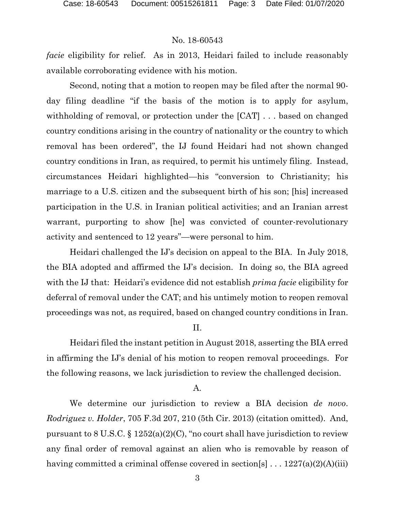*facie* eligibility for relief. As in 2013, Heidari failed to include reasonably available corroborating evidence with his motion.

Second, noting that a motion to reopen may be filed after the normal 90 day filing deadline "if the basis of the motion is to apply for asylum, withholding of removal, or protection under the [CAT] . . . based on changed country conditions arising in the country of nationality or the country to which removal has been ordered", the IJ found Heidari had not shown changed country conditions in Iran, as required, to permit his untimely filing. Instead, circumstances Heidari highlighted—his "conversion to Christianity; his marriage to a U.S. citizen and the subsequent birth of his son; [his] increased participation in the U.S. in Iranian political activities; and an Iranian arrest warrant, purporting to show [he] was convicted of counter-revolutionary activity and sentenced to 12 years"—were personal to him.

Heidari challenged the IJ's decision on appeal to the BIA. In July 2018, the BIA adopted and affirmed the IJ's decision. In doing so, the BIA agreed with the IJ that: Heidari's evidence did not establish *prima facie* eligibility for deferral of removal under the CAT; and his untimely motion to reopen removal proceedings was not, as required, based on changed country conditions in Iran.

### II.

Heidari filed the instant petition in August 2018, asserting the BIA erred in affirming the IJ's denial of his motion to reopen removal proceedings. For the following reasons, we lack jurisdiction to review the challenged decision.

# A.

We determine our jurisdiction to review a BIA decision *de novo*. *Rodriguez v. Holder*, 705 F.3d 207, 210 (5th Cir. 2013) (citation omitted). And, pursuant to 8 U.S.C.  $\S 1252(a)(2)(C)$ , "no court shall have jurisdiction to review any final order of removal against an alien who is removable by reason of having committed a criminal offense covered in section[s]  $\ldots$  1227(a)(2)(A)(iii)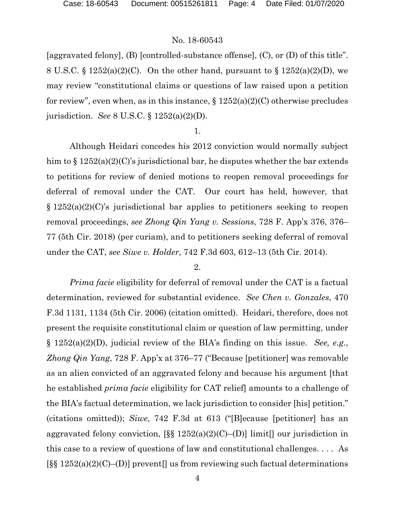[aggravated felony], (B) [controlled-substance offense], (C), or (D) of this title". 8 U.S.C. § 1252(a)(2)(C). On the other hand, pursuant to § 1252(a)(2)(D), we may review "constitutional claims or questions of law raised upon a petition for review", even when, as in this instance,  $\S 1252(a)(2)(C)$  otherwise precludes jurisdiction. *See* 8 U.S.C. § 1252(a)(2)(D).

#### 1.

Although Heidari concedes his 2012 conviction would normally subject him to  $\S 1252(a)(2)(C)$ 's jurisdictional bar, he disputes whether the bar extends to petitions for review of denied motions to reopen removal proceedings for deferral of removal under the CAT. Our court has held, however, that § 1252(a)(2)(C)'s jurisdictional bar applies to petitioners seeking to reopen removal proceedings, *see Zhong Qin Yang v. Sessions*, 728 F. App'x 376, 376– 77 (5th Cir. 2018) (per curiam), and to petitioners seeking deferral of removal under the CAT, *see Siwe v. Holder*, 742 F.3d 603, 612–13 (5th Cir. 2014).

#### 2.

*Prima facie* eligibility for deferral of removal under the CAT is a factual determination, reviewed for substantial evidence. *See Chen v. Gonzales*, 470 F.3d 1131, 1134 (5th Cir. 2006) (citation omitted). Heidari, therefore, does not present the requisite constitutional claim or question of law permitting, under § 1252(a)(2)(D), judicial review of the BIA's finding on this issue. *See, e.g.*, *Zhong Qin Yang*, 728 F. App'x at 376–77 ("Because [petitioner] was removable as an alien convicted of an aggravated felony and because his argument [that he established *prima facie* eligibility for CAT relief] amounts to a challenge of the BIA's factual determination, we lack jurisdiction to consider [his] petition." (citations omitted)); *Siwe*, 742 F.3d at 613 ("[B]ecause [petitioner] has an aggravated felony conviction,  $[\S \S 1252(a)(2)(C)$ –(D)] limit our jurisdiction in this case to a review of questions of law and constitutional challenges. . . . As  $[\S \S 1252(a)(2)(C)$ –(D)] prevent<sup>[]</sup> us from reviewing such factual determinations